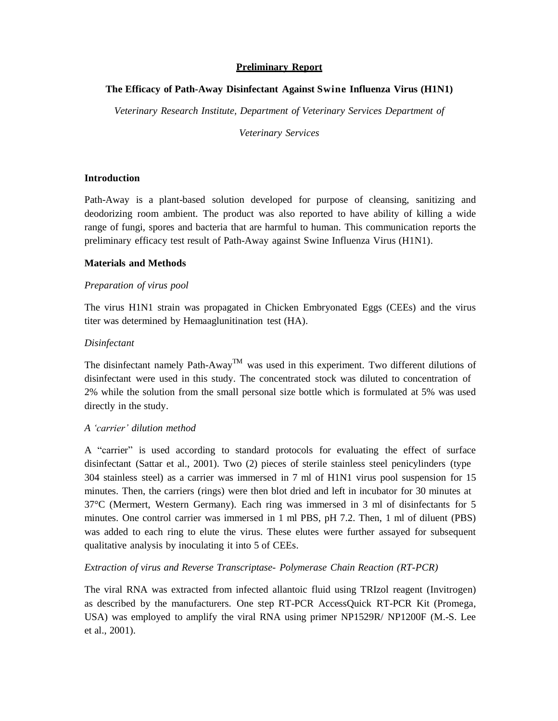## **Preliminary Report**

# **The Efficacy of Path-Away Disinfectant Against Swine Influenza Virus (H1N1)**

*Veterinary Research Institute, Department of Veterinary Services Department of*

*Veterinary Services*

## **Introduction**

Path-Away is a plant-based solution developed for purpose of cleansing, sanitizing and deodorizing room ambient. The product was also reported to have ability of killing a wide range of fungi, spores and bacteria that are harmful to human. This communication reports the preliminary efficacy test result of Path-Away against Swine Influenza Virus (H1N1).

## **Materials and Methods**

## *Preparation of virus pool*

The virus H1N1 strain was propagated in Chicken Embryonated Eggs (CEEs) and the virus titer was determined by Hemaaglunitination test (HA).

## *Disinfectant*

The disinfectant namely Path-Away<sup>TM</sup> was used in this experiment. Two different dilutions of disinfectant were used in this study. The concentrated stock was diluted to concentration of 2% while the solution from the small personal size bottle which is formulated at 5% was used directly in the study.

#### *A 'carrier' dilution method*

A "carrier" is used according to standard protocols for evaluating the effect of surface disinfectant (Sattar et al., 2001). Two (2) pieces of sterile stainless steel penicylinders (type 304 stainless steel) as a carrier was immersed in 7 ml of H1N1 virus pool suspension for 15 minutes. Then, the carriers (rings) were then blot dried and left in incubator for 30 minutes at 37°C (Mermert, Western Germany). Each ring was immersed in 3 ml of disinfectants for 5 minutes. One control carrier was immersed in 1 ml PBS, pH 7.2. Then, 1 ml of diluent (PBS) was added to each ring to elute the virus. These elutes were further assayed for subsequent qualitative analysis by inoculating it into 5 of CEEs.

# *Extraction of virus and Reverse Transcriptase- Polymerase Chain Reaction (RT-PCR)*

The viral RNA was extracted from infected allantoic fluid using TRIzol reagent (Invitrogen) as described by the manufacturers. One step RT-PCR AccessQuick RT-PCR Kit (Promega, USA) was employed to amplify the viral RNA using primer NP1529R/ NP1200F (M.-S. Lee et al., 2001).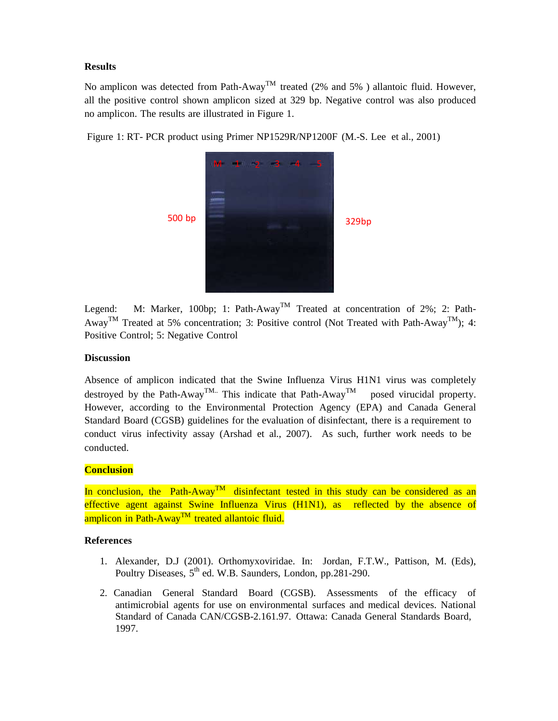# **Results**

No amplicon was detected from Path-Away<sup>TM</sup> treated (2% and 5%) allantoic fluid. However, all the positive control shown amplicon sized at 329 bp. Negative control was also produced no amplicon. The results are illustrated in Figure 1.

Figure 1: RT- PCR product using Primer NP1529R/NP1200F (M.-S. Lee et al., 2001)



Legend: M: Marker, 100bp; 1: Path-Away<sup>TM</sup> Treated at concentration of 2%; 2: Path-Away<sup>TM</sup> Treated at 5% concentration; 3: Positive control (Not Treated with Path-Away<sup>TM</sup>); 4: Positive Control; 5: Negative Control

# **Discussion**

Absence of amplicon indicated that the Swine Influenza Virus H1N1 virus was completely destroyed by the Path-Away<sup>TM..</sup> This indicate that Path-Away posed virucidal property. However, according to the Environmental Protection Agency (EPA) and Canada General Standard Board (CGSB) guidelines for the evaluation of disinfectant, there is a requirement to conduct virus infectivity assay (Arshad et al., 2007). As such, further work needs to be conducted.

# **Conclusion**

In conclusion, the Path-Away<sup>TM</sup> disinfectant tested in this study can be considered as an effective agent against Swine Influenza Virus (H1N1), as reflected by the absence of amplicon in Path-Away<sup>TM</sup> treated allantoic fluid.

# **References**

- 1. Alexander, D.J (2001). Orthomyxoviridae. In: Jordan, F.T.W., Pattison, M. (Eds), Poultry Diseases, 5<sup>th</sup> ed. W.B. Saunders, London, pp.281-290.
- 2. Canadian General Standard Board (CGSB). Assessments of the efficacy of antimicrobial agents for use on environmental surfaces and medical devices. National Standard of Canada CAN/CGSB-2.161.97. Ottawa: Canada General Standards Board, 1997.